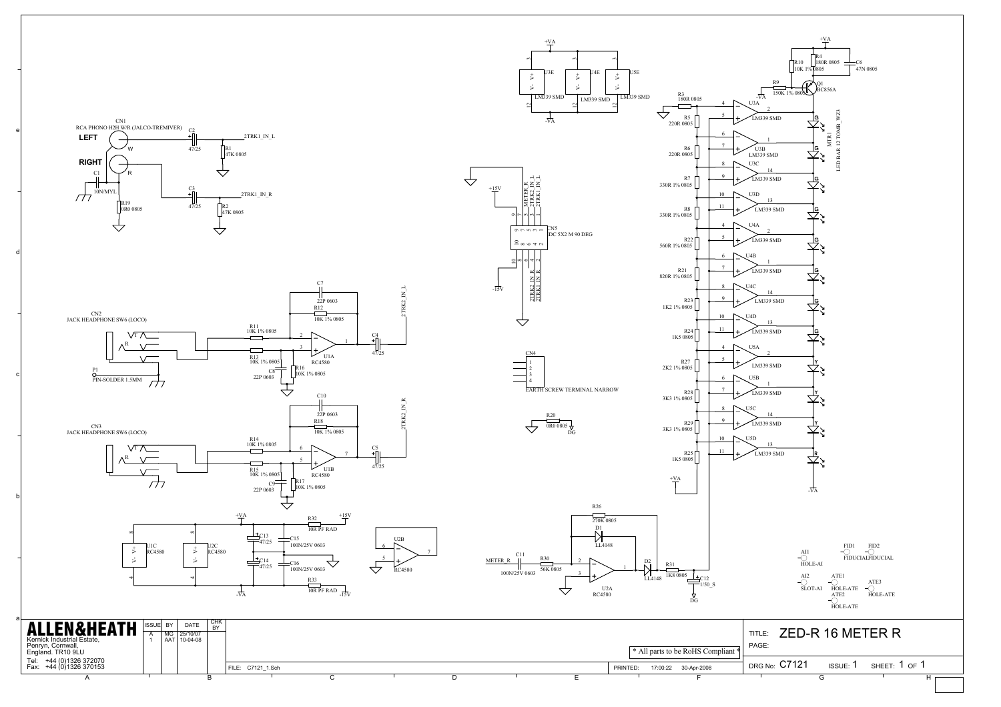